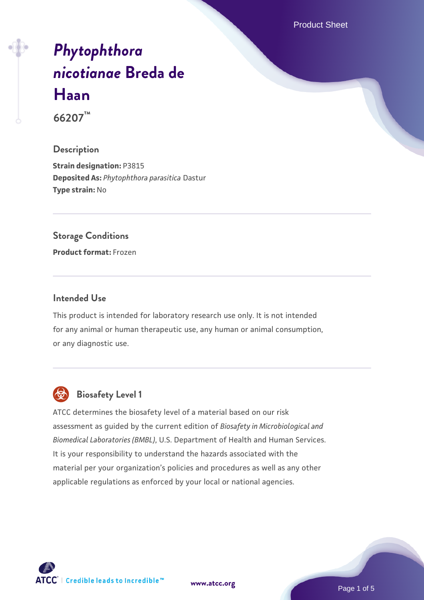Product Sheet

# *[Phytophthora](https://www.atcc.org/products/66207) [nicotianae](https://www.atcc.org/products/66207)* **[Breda de](https://www.atcc.org/products/66207) [Haan](https://www.atcc.org/products/66207)**

**66207™**

#### **Description**

**Strain designation:** P3815 **Deposited As:** *Phytophthora parasitica* Dastur **Type strain:** No

#### **Storage Conditions**

**Product format:** Frozen

#### **Intended Use**

This product is intended for laboratory research use only. It is not intended for any animal or human therapeutic use, any human or animal consumption, or any diagnostic use.



# **Biosafety Level 1**

ATCC determines the biosafety level of a material based on our risk assessment as guided by the current edition of *Biosafety in Microbiological and Biomedical Laboratories (BMBL)*, U.S. Department of Health and Human Services. It is your responsibility to understand the hazards associated with the material per your organization's policies and procedures as well as any other applicable regulations as enforced by your local or national agencies.

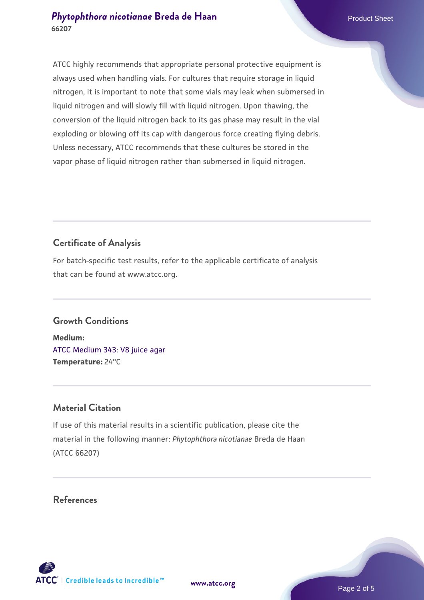## **[Phytophthora nicotianae](https://www.atcc.org/products/66207) [Breda de Haan](https://www.atcc.org/products/66207)** Product Sheet **66207**

ATCC highly recommends that appropriate personal protective equipment is always used when handling vials. For cultures that require storage in liquid nitrogen, it is important to note that some vials may leak when submersed in liquid nitrogen and will slowly fill with liquid nitrogen. Upon thawing, the conversion of the liquid nitrogen back to its gas phase may result in the vial exploding or blowing off its cap with dangerous force creating flying debris. Unless necessary, ATCC recommends that these cultures be stored in the vapor phase of liquid nitrogen rather than submersed in liquid nitrogen.

# **Certificate of Analysis**

For batch-specific test results, refer to the applicable certificate of analysis that can be found at www.atcc.org.

# **Growth Conditions**

**Medium:**  [ATCC Medium 343: V8 juice agar](https://www.atcc.org/-/media/product-assets/documents/microbial-media-formulations/3/4/3/atcc-medium-0343.pdf?rev=fbf48fa24e664932828269db1822ab12) **Temperature:** 24°C

# **Material Citation**

If use of this material results in a scientific publication, please cite the material in the following manner: *Phytophthora nicotianae* Breda de Haan (ATCC 66207)

## **References**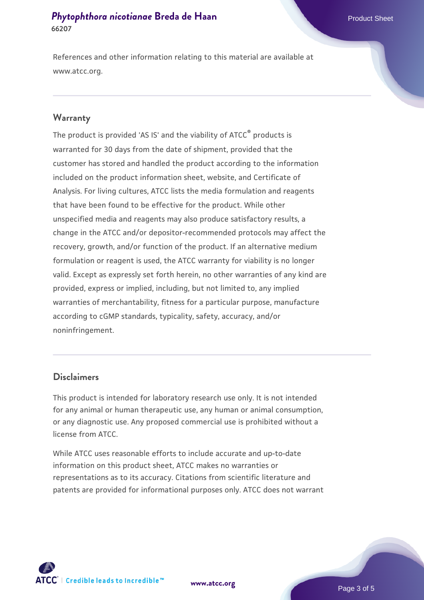# **[Phytophthora nicotianae](https://www.atcc.org/products/66207) [Breda de Haan](https://www.atcc.org/products/66207)** Product Sheet **66207**

References and other information relating to this material are available at www.atcc.org.

#### **Warranty**

The product is provided 'AS IS' and the viability of ATCC<sup>®</sup> products is warranted for 30 days from the date of shipment, provided that the customer has stored and handled the product according to the information included on the product information sheet, website, and Certificate of Analysis. For living cultures, ATCC lists the media formulation and reagents that have been found to be effective for the product. While other unspecified media and reagents may also produce satisfactory results, a change in the ATCC and/or depositor-recommended protocols may affect the recovery, growth, and/or function of the product. If an alternative medium formulation or reagent is used, the ATCC warranty for viability is no longer valid. Except as expressly set forth herein, no other warranties of any kind are provided, express or implied, including, but not limited to, any implied warranties of merchantability, fitness for a particular purpose, manufacture according to cGMP standards, typicality, safety, accuracy, and/or noninfringement.

#### **Disclaimers**

This product is intended for laboratory research use only. It is not intended for any animal or human therapeutic use, any human or animal consumption, or any diagnostic use. Any proposed commercial use is prohibited without a license from ATCC.

While ATCC uses reasonable efforts to include accurate and up-to-date information on this product sheet, ATCC makes no warranties or representations as to its accuracy. Citations from scientific literature and patents are provided for informational purposes only. ATCC does not warrant





Page 3 of 5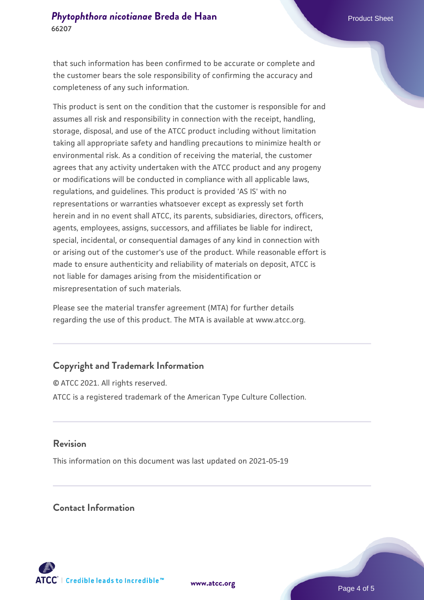that such information has been confirmed to be accurate or complete and the customer bears the sole responsibility of confirming the accuracy and completeness of any such information.

This product is sent on the condition that the customer is responsible for and assumes all risk and responsibility in connection with the receipt, handling, storage, disposal, and use of the ATCC product including without limitation taking all appropriate safety and handling precautions to minimize health or environmental risk. As a condition of receiving the material, the customer agrees that any activity undertaken with the ATCC product and any progeny or modifications will be conducted in compliance with all applicable laws, regulations, and guidelines. This product is provided 'AS IS' with no representations or warranties whatsoever except as expressly set forth herein and in no event shall ATCC, its parents, subsidiaries, directors, officers, agents, employees, assigns, successors, and affiliates be liable for indirect, special, incidental, or consequential damages of any kind in connection with or arising out of the customer's use of the product. While reasonable effort is made to ensure authenticity and reliability of materials on deposit, ATCC is not liable for damages arising from the misidentification or misrepresentation of such materials.

Please see the material transfer agreement (MTA) for further details regarding the use of this product. The MTA is available at www.atcc.org.

#### **Copyright and Trademark Information**

© ATCC 2021. All rights reserved. ATCC is a registered trademark of the American Type Culture Collection.

## **Revision**

**66207**

This information on this document was last updated on 2021-05-19

## **Contact Information**



**[www.atcc.org](http://www.atcc.org)**

Page 4 of 5